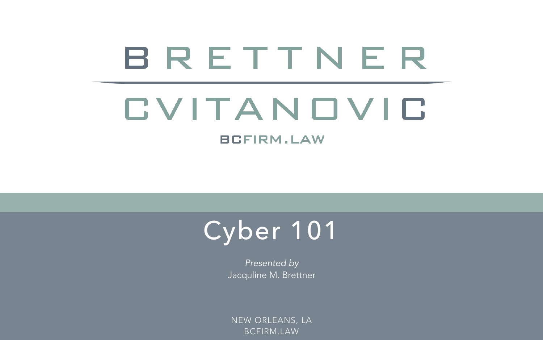# BRETTNER CVITANOVIC

**BCFIRM.LAW** 



*Presented by*  Jacquline M. Brettner

NEW ORLEANS, LA BCFIRM.LAW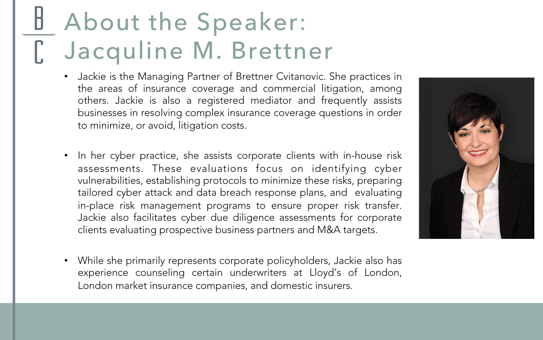### About the Speaker: D Jacquline M. Brettner

- Jackie is the Managing Partner of Brettner Cvitanovic. She practices in the areas of insurance coverage and commercial litigation, among others. Jackie is also a registered mediator and frequently assists businesses in resolving complex insurance coverage questions in order to minimize, or avoid, litigation costs.
- In her cyber practice, she assists corporate clients with in-house risk assessments. These evaluations focus on identifying cyber vulnerabilities, establishing protocols to minimize these risks, preparing tailored cyber attack and data breach response plans, and evaluating in-place risk management programs to ensure proper risk transfer. Jackie also facilitates cyber due diligence assessments for corporate clients evaluating prospective business partners and M&A targets.
- While she primarily represents corporate policyholders, Jackie also has experience counseling certain underwriters at Lloyd's of London, London market insurance companies, and domestic insurers.

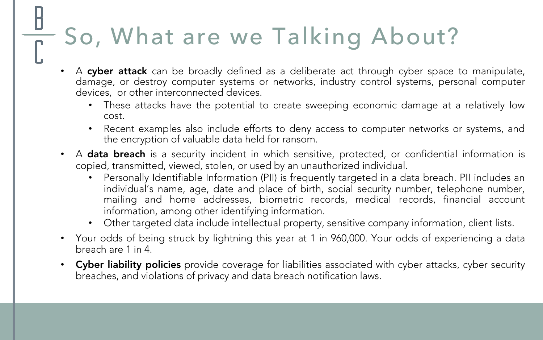### So, What are we Talking About?

- A cyber attack can be broadly defined as a deliberate act through cyber space to manipulate, damage, or destroy computer systems or networks, industry control systems, personal computer devices, or other interconnected devices.
	- These attacks have the potential to create sweeping economic damage at a relatively low cost.
	- Recent examples also include efforts to deny access to computer networks or systems, and the encryption of valuable data held for ransom.
- A data breach is a security incident in which sensitive, protected, or confidential information is copied, transmitted, viewed, stolen, or used by an unauthorized individual.
	- Personally Identifiable Information (PII) is frequently targeted in a data breach. PII includes an individual's name, age, date and place of birth, social security number, telephone number, mailing and home addresses, biometric records, medical records, financial account information, among other identifying information.
	- Other targeted data include intellectual property, sensitive company information, client lists.
- Your odds of being struck by lightning this year at 1 in 960,000. Your odds of experiencing a data breach are 1 in 4.
- Cyber liability policies provide coverage for liabilities associated with cyber attacks, cyber security breaches, and violations of privacy and data breach notification laws.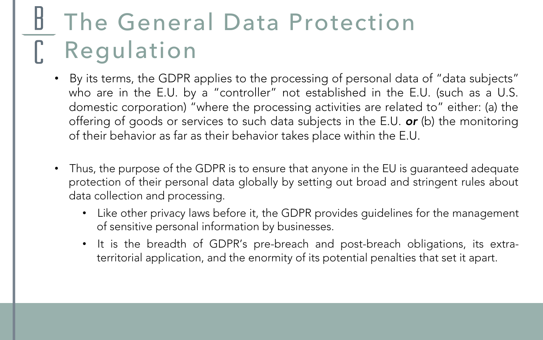### The General Data Protection Regulation

- By its terms, the GDPR applies to the processing of personal data of "data subjects" who are in the E.U. by a "controller" not established in the E.U. (such as a U.S. domestic corporation) "where the processing activities are related to" either: (a) the offering of goods or services to such data subjects in the E.U. *or* (b) the monitoring of their behavior as far as their behavior takes place within the E.U.
- Thus, the purpose of the GDPR is to ensure that anyone in the EU is guaranteed adequate protection of their personal data globally by setting out broad and stringent rules about data collection and processing.
	- Like other privacy laws before it, the GDPR provides guidelines for the management of sensitive personal information by businesses.
	- It is the breadth of GDPR's pre-breach and post-breach obligations, its extraterritorial application, and the enormity of its potential penalties that set it apart.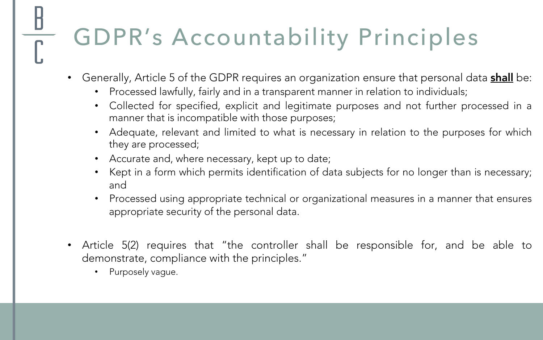### GDPR's Accountability Principles

- Generally, Article 5 of the GDPR requires an organization ensure that personal data **shall** be:
	- Processed lawfully, fairly and in a transparent manner in relation to individuals;
	- Collected for specified, explicit and legitimate purposes and not further processed in a manner that is incompatible with those purposes;
	- Adequate, relevant and limited to what is necessary in relation to the purposes for which they are processed;
	- Accurate and, where necessary, kept up to date;
	- Kept in a form which permits identification of data subjects for no longer than is necessary; and
	- Processed using appropriate technical or organizational measures in a manner that ensures appropriate security of the personal data.
- Article 5(2) requires that "the controller shall be responsible for, and be able to demonstrate, compliance with the principles."
	- Purposely vague.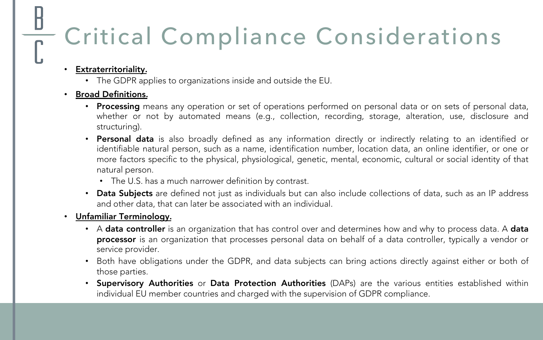### Critical Compliance Considerations

#### • Extraterritoriality.

• The GDPR applies to organizations inside and outside the EU.

#### • Broad Definitions.

- Processing means any operation or set of operations performed on personal data or on sets of personal data, whether or not by automated means (e.g., collection, recording, storage, alteration, use, disclosure and structuring).
- Personal data is also broadly defined as any information directly or indirectly relating to an identified or identifiable natural person, such as a name, identification number, location data, an online identifier, or one or more factors specific to the physical, physiological, genetic, mental, economic, cultural or social identity of that natural person.
	- The U.S. has a much narrower definition by contrast.
- Data Subjects are defined not just as individuals but can also include collections of data, such as an IP address and other data, that can later be associated with an individual.

#### • Unfamiliar Terminology.

- A data controller is an organization that has control over and determines how and why to process data. A data processor is an organization that processes personal data on behalf of a data controller, typically a vendor or service provider.
- Both have obligations under the GDPR, and data subjects can bring actions directly against either or both of those parties.
- Supervisory Authorities or Data Protection Authorities (DAPs) are the various entities established within individual EU member countries and charged with the supervision of GDPR compliance.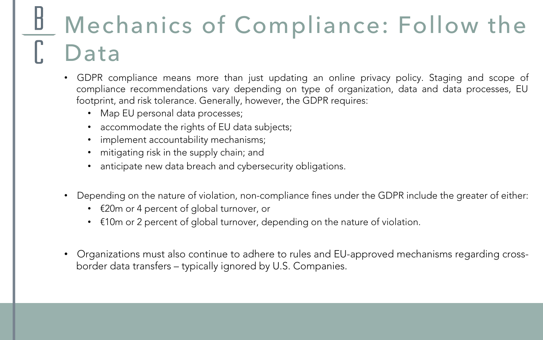## Mechanics of Compliance: Follow the Data

- GDPR compliance means more than just updating an online privacy policy. Staging and scope of compliance recommendations vary depending on type of organization, data and data processes, EU footprint, and risk tolerance. Generally, however, the GDPR requires:
	- Map EU personal data processes;
	- accommodate the rights of EU data subjects;
	- implement accountability mechanisms;
	- mitigating risk in the supply chain; and
	- anticipate new data breach and cybersecurity obligations.
- Depending on the nature of violation, non-compliance fines under the GDPR include the greater of either:
	- €20m or 4 percent of global turnover, or
	- €10m or 2 percent of global turnover, depending on the nature of violation.
- Organizations must also continue to adhere to rules and EU-approved mechanisms regarding crossborder data transfers – typically ignored by U.S. Companies.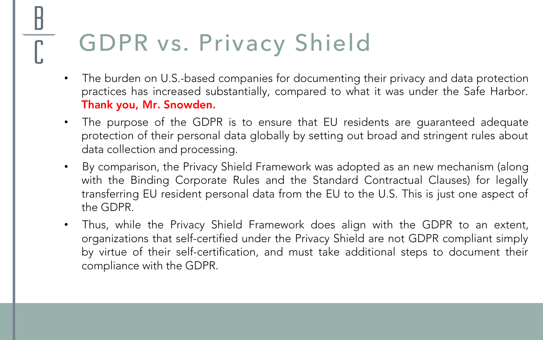### GDPR vs. Privacy Shield

- The burden on U.S.-based companies for documenting their privacy and data protection practices has increased substantially, compared to what it was under the Safe Harbor. Thank you, Mr. Snowden.
- The purpose of the GDPR is to ensure that EU residents are guaranteed adequate protection of their personal data globally by setting out broad and stringent rules about data collection and processing.
- By comparison, the Privacy Shield Framework was adopted as an new mechanism (along with the Binding Corporate Rules and the Standard Contractual Clauses) for legally transferring EU resident personal data from the EU to the U.S. This is just one aspect of the GDPR.
- Thus, while the Privacy Shield Framework does align with the GDPR to an extent, organizations that self-certified under the Privacy Shield are not GDPR compliant simply by virtue of their self-certification, and must take additional steps to document their compliance with the GDPR.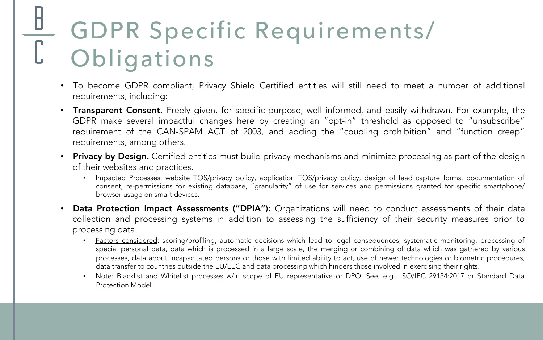### GDPR Specific Requirements/ **Obligations**

- To become GDPR compliant, Privacy Shield Certified entities will still need to meet a number of additional requirements, including:
- Transparent Consent. Freely given, for specific purpose, well informed, and easily withdrawn. For example, the GDPR make several impactful changes here by creating an "opt-in" threshold as opposed to "unsubscribe" requirement of the CAN-SPAM ACT of 2003, and adding the "coupling prohibition" and "function creep" requirements, among others.
- Privacy by Design. Certified entities must build privacy mechanisms and minimize processing as part of the design of their websites and practices.
	- Impacted Processes: website TOS/privacy policy, application TOS/privacy policy, design of lead capture forms, documentation of consent, re-permissions for existing database, "granularity" of use for services and permissions granted for specific smartphone/ browser usage on smart devices.
- Data Protection Impact Assessments ("DPIA"): Organizations will need to conduct assessments of their data collection and processing systems in addition to assessing the sufficiency of their security measures prior to processing data.
	- Factors considered: scoring/profiling, automatic decisions which lead to legal consequences, systematic monitoring, processing of special personal data, data which is processed in a large scale, the merging or combining of data which was gathered by various processes, data about incapacitated persons or those with limited ability to act, use of newer technologies or biometric procedures, data transfer to countries outside the EU/EEC and data processing which hinders those involved in exercising their rights.
	- Note: Blacklist and Whitelist processes w/in scope of EU representative or DPO. See, e.g., ISO/IEC 29134:2017 or Standard Data Protection Model.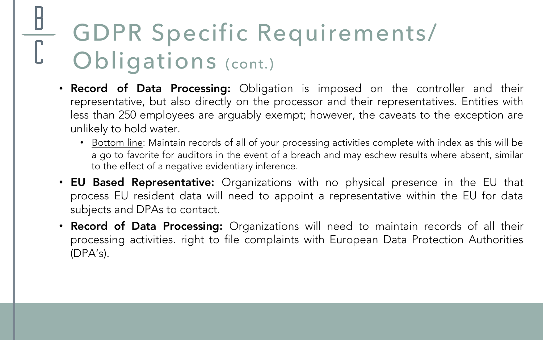### GDPR Specific Requirements/ Obligations (cont.)

- Record of Data Processing: Obligation is imposed on the controller and their representative, but also directly on the processor and their representatives. Entities with less than 250 employees are arguably exempt; however, the caveats to the exception are unlikely to hold water.
	- Bottom line: Maintain records of all of your processing activities complete with index as this will be a go to favorite for auditors in the event of a breach and may eschew results where absent, similar to the effect of a negative evidentiary inference.
- EU Based Representative: Organizations with no physical presence in the EU that process EU resident data will need to appoint a representative within the EU for data subjects and DPAs to contact.
- Record of Data Processing: Organizations will need to maintain records of all their processing activities. right to file complaints with European Data Protection Authorities (DPA's).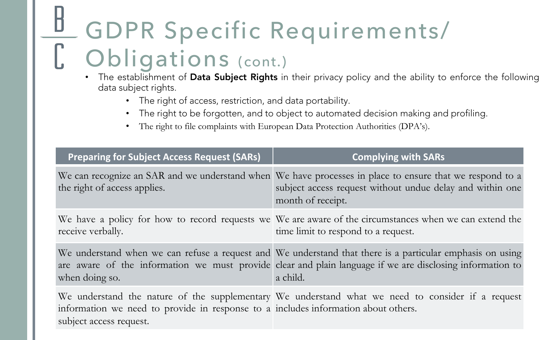## GDPR Specific Requirements/ Obligations (cont.)

- The establishment of Data Subject Rights in their privacy policy and the ability to enforce the following data subject rights.
	- The right of access, restriction, and data portability.
	- The right to be forgotten, and to object to automated decision making and profiling.
	- The right to file complaints with European Data Protection Authorities (DPA's).

| <b>Preparing for Subject Access Request (SARs)</b>                                                            | <b>Complying with SARs</b>                                                                                                                                                                                                         |
|---------------------------------------------------------------------------------------------------------------|------------------------------------------------------------------------------------------------------------------------------------------------------------------------------------------------------------------------------------|
| the right of access applies.                                                                                  | We can recognize an SAR and we understand when We have processes in place to ensure that we respond to a<br>subject access request without undue delay and within one<br>month of receipt.                                         |
| receive verbally.                                                                                             | We have a policy for how to record requests we We are aware of the circumstances when we can extend the<br>time limit to respond to a request.                                                                                     |
| when doing so.                                                                                                | We understand when we can refuse a request and We understand that there is a particular emphasis on using<br>are aware of the information we must provide clear and plain language if we are disclosing information to<br>a child. |
| information we need to provide in response to a includes information about others.<br>subject access request. | We understand the nature of the supplementary We understand what we need to consider if a request                                                                                                                                  |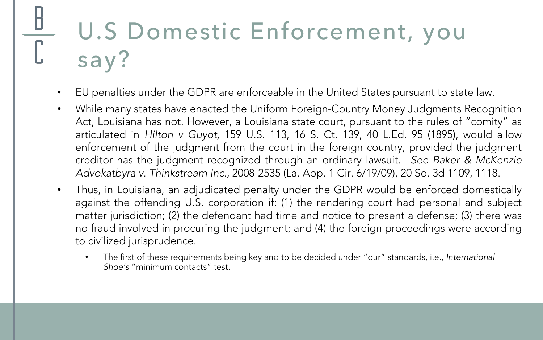### U.S Domestic Enforcement, you say?

- EU penalties under the GDPR are enforceable in the United States pursuant to state law.
- While many states have enacted the Uniform Foreign-Country Money Judgments Recognition Act, Louisiana has not. However, a Louisiana state court, pursuant to the rules of "comity" as articulated in *Hilton v Guyot,* 159 U.S. 113, 16 S. Ct. 139, 40 L.Ed. 95 (1895), would allow enforcement of the judgment from the court in the foreign country, provided the judgment creditor has the judgment recognized through an ordinary lawsuit. *See Baker & McKenzie Advokatbyra v. Thinkstream Inc.,* 2008-2535 (La. App. 1 Cir. 6/19/09), 20 So. 3d 1109, 1118.
- Thus, in Louisiana, an adjudicated penalty under the GDPR would be enforced domestically against the offending U.S. corporation if: (1) the rendering court had personal and subject matter jurisdiction; (2) the defendant had time and notice to present a defense; (3) there was no fraud involved in procuring the judgment; and (4) the foreign proceedings were according to civilized jurisprudence.
	- The first of these requirements being key and to be decided under "our" standards, i.e., *International Shoe's* "minimum contacts" test.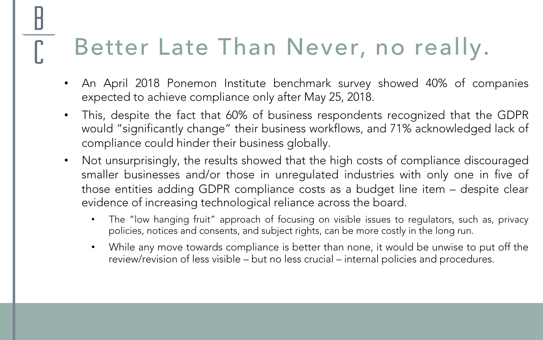### Better Late Than Never, no really.

- An April 2018 Ponemon Institute benchmark survey showed 40% of companies expected to achieve compliance only after May 25, 2018.
- This, despite the fact that 60% of business respondents recognized that the GDPR would "significantly change" their business workflows, and 71% acknowledged lack of compliance could hinder their business globally.
- Not unsurprisingly, the results showed that the high costs of compliance discouraged smaller businesses and/or those in unregulated industries with only one in five of those entities adding GDPR compliance costs as a budget line item – despite clear evidence of increasing technological reliance across the board.
	- The "low hanging fruit" approach of focusing on visible issues to regulators, such as, privacy policies, notices and consents, and subject rights, can be more costly in the long run.
	- While any move towards compliance is better than none, it would be unwise to put off the review/revision of less visible – but no less crucial – internal policies and procedures.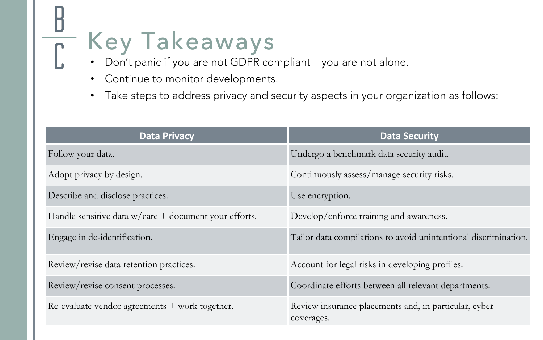### Key Takeaways  $\overline{\int}$

- Don't panic if you are not GDPR compliant you are not alone.
- Continue to monitor developments.
- Take steps to address privacy and security aspects in your organization as follows:

| <b>Data Privacy</b>                                     | <b>Data Security</b>                                                |
|---------------------------------------------------------|---------------------------------------------------------------------|
| Follow your data.                                       | Undergo a benchmark data security audit.                            |
| Adopt privacy by design.                                | Continuously assess/manage security risks.                          |
| Describe and disclose practices.                        | Use encryption.                                                     |
| Handle sensitive data $w/care + document$ your efforts. | Develop/enforce training and awareness.                             |
| Engage in de-identification.                            | Tailor data compilations to avoid unintentional discrimination.     |
| Review/revise data retention practices.                 | Account for legal risks in developing profiles.                     |
| Review/revise consent processes.                        | Coordinate efforts between all relevant departments.                |
| Re-evaluate vendor agreements + work together.          | Review insurance placements and, in particular, cyber<br>coverages. |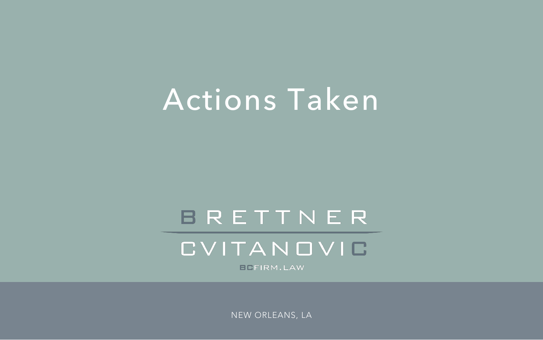### Actions Taken

### BRETTNER

CVITANOVIO

**BEFIRM.LAW** 

NEW ORLEANS, LA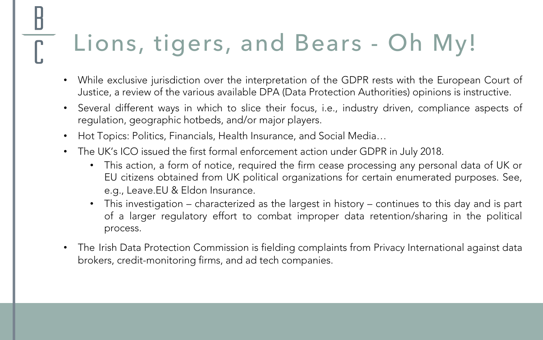### Lions, tigers, and Bears - Oh My!

- While exclusive jurisdiction over the interpretation of the GDPR rests with the European Court of Justice, a review of the various available DPA (Data Protection Authorities) opinions is instructive.
- Several different ways in which to slice their focus, i.e., industry driven, compliance aspects of regulation, geographic hotbeds, and/or major players.
- Hot Topics: Politics, Financials, Health Insurance, and Social Media…
- The UK's ICO issued the first formal enforcement action under GDPR in July 2018.
	- This action, a form of notice, required the firm cease processing any personal data of UK or EU citizens obtained from UK political organizations for certain enumerated purposes. See, e.g., Leave.EU & Eldon Insurance.
	- This investigation characterized as the largest in history continues to this day and is part of a larger regulatory effort to combat improper data retention/sharing in the political process.
- The Irish Data Protection Commission is fielding complaints from Privacy International against data brokers, credit-monitoring firms, and ad tech companies.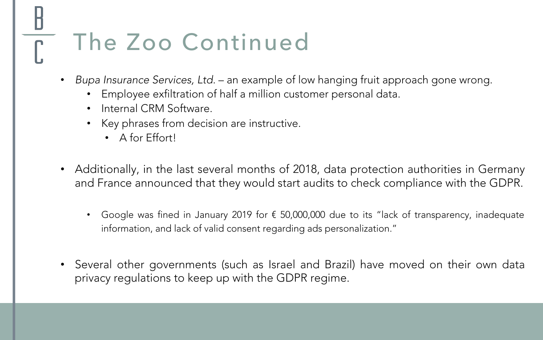## The Zoo Continued

- *Bupa Insurance Services, Ltd.* an example of low hanging fruit approach gone wrong.
	- Employee exfiltration of half a million customer personal data.
	- Internal CRM Software.
	- Key phrases from decision are instructive.
		- A for Effort!
- Additionally, in the last several months of 2018, data protection authorities in Germany and France announced that they would start audits to check compliance with the GDPR.
	- Google was fined in January 2019 for € 50,000,000 due to its "lack of transparency, inadequate information, and lack of valid consent regarding ads personalization."
- Several other governments (such as Israel and Brazil) have moved on their own data privacy regulations to keep up with the GDPR regime.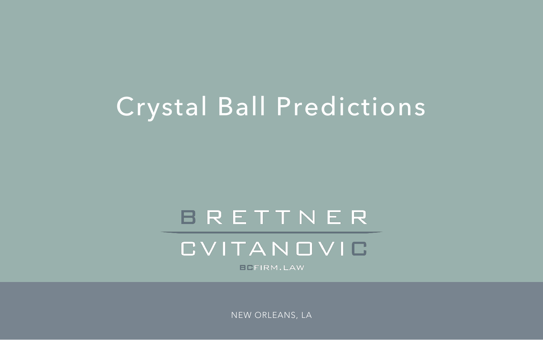### Crystal Ball Predictions

### BRETTNER

CVITANOVIC

**BEFIRM.LAW** 

NEW ORLEANS, LA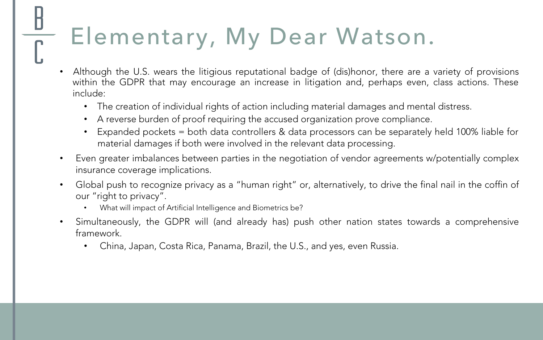## Elementary, My Dear Watson.

- Although the U.S. wears the litigious reputational badge of (dis)honor, there are a variety of provisions within the GDPR that may encourage an increase in litigation and, perhaps even, class actions. These include:
	- The creation of individual rights of action including material damages and mental distress.
	- A reverse burden of proof requiring the accused organization prove compliance.
	- Expanded pockets = both data controllers & data processors can be separately held 100% liable for material damages if both were involved in the relevant data processing.
- Even greater imbalances between parties in the negotiation of vendor agreements w/potentially complex insurance coverage implications.
- Global push to recognize privacy as a "human right" or, alternatively, to drive the final nail in the coffin of our "right to privacy".
	- What will impact of Artificial Intelligence and Biometrics be?
- Simultaneously, the GDPR will (and already has) push other nation states towards a comprehensive framework.
	- China, Japan, Costa Rica, Panama, Brazil, the U.S., and yes, even Russia.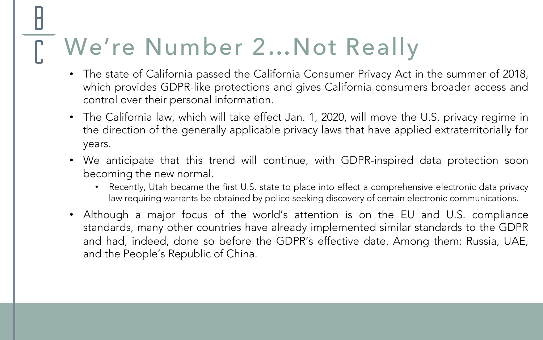### We're Number 2…Not Really

- The state of California passed the California Consumer Privacy Act in the summer of 2018, which provides GDPR-like protections and gives California consumers broader access and control over their personal information.
- The California law, which will take effect Jan. 1, 2020, will move the U.S. privacy regime in the direction of the generally applicable privacy laws that have applied extraterritorially for years.
- We anticipate that this trend will continue, with GDPR-inspired data protection soon becoming the new normal.
	- Recently, Utah became the first U.S. state to place into effect a comprehensive electronic data privacy law requiring warrants be obtained by police seeking discovery of certain electronic communications.
- Although a major focus of the world's attention is on the EU and U.S. compliance standards, many other countries have already implemented similar standards to the GDPR and had, indeed, done so before the GDPR's effective date. Among them: Russia, UAE, and the People's Republic of China.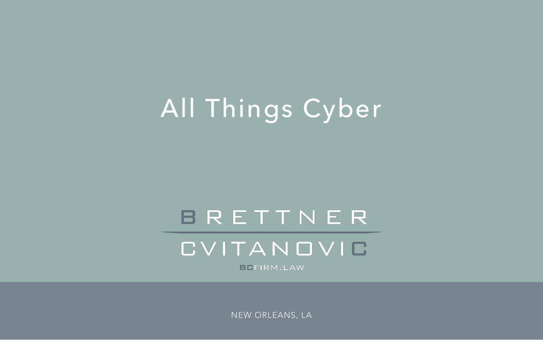### All Things Cyber

### BRETTNER

CVITANOVIC

**BEFIRM.LAW** 

NEW ORLEANS, LA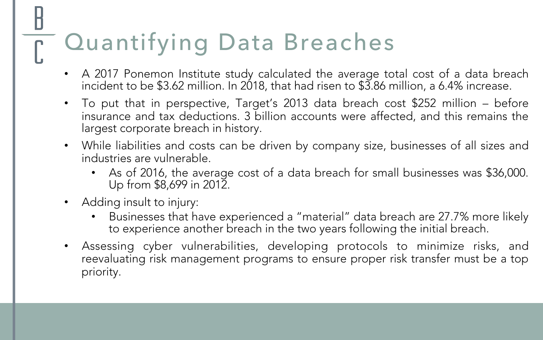## Quantifying Data Breaches

- A 2017 Ponemon Institute study calculated the average total cost of a data breach incident to be \$3.62 million. In 2018, that had risen to \$3.86 million, a 6.4% increase.
- To put that in perspective, Target's 2013 data breach cost \$252 million before insurance and tax deductions. 3 billion accounts were affected, and this remains the largest corporate breach in history.
- While liabilities and costs can be driven by company size, businesses of all sizes and industries are vulnerable.
	- As of 2016, the average cost of a data breach for small businesses was \$36,000. Up from \$8,699 in 2012.
- Adding insult to injury:
	- Businesses that have experienced a "material" data breach are 27.7% more likely to experience another breach in the two years following the initial breach.
- Assessing cyber vulnerabilities, developing protocols to minimize risks, and reevaluating risk management programs to ensure proper risk transfer must be a top priority.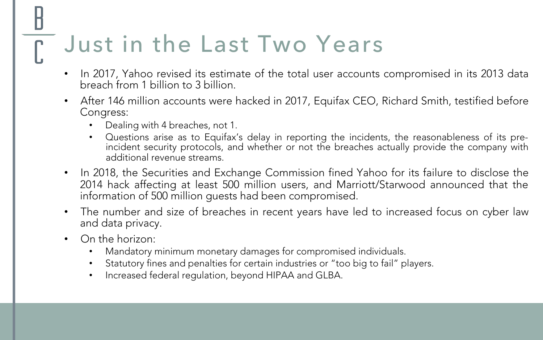### Just in the Last Two Years

- In 2017, Yahoo revised its estimate of the total user accounts compromised in its 2013 data breach from 1 billion to 3 billion.
- After 146 million accounts were hacked in 2017, Equifax CEO, Richard Smith, testified before Congress:
	- Dealing with 4 breaches, not 1.
	- Questions arise as to Equifax's delay in reporting the incidents, the reasonableness of its preincident security protocols, and whether or not the breaches actually provide the company with additional revenue streams.
- In 2018, the Securities and Exchange Commission fined Yahoo for its failure to disclose the 2014 hack affecting at least 500 million users, and Marriott/Starwood announced that the information of 500 million guests had been compromised.
- The number and size of breaches in recent years have led to increased focus on cyber law and data privacy.
- On the horizon:
	- Mandatory minimum monetary damages for compromised individuals.
	- Statutory fines and penalties for certain industries or "too big to fail" players.
	- Increased federal regulation, beyond HIPAA and GLBA.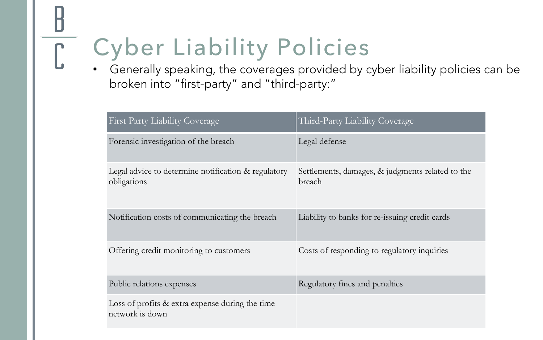### Cyber Liability Policies

• Generally speaking, the coverages provided by cyber liability policies can be broken into "first-party" and "third-party:"

| <b>First Party Liability Coverage</b>                              | Third-Party Liability Coverage                             |
|--------------------------------------------------------------------|------------------------------------------------------------|
| Forensic investigation of the breach                               | Legal defense                                              |
| Legal advice to determine notification & regulatory<br>obligations | Settlements, damages, & judgments related to the<br>breach |
| Notification costs of communicating the breach                     | Liability to banks for re-issuing credit cards             |
| Offering credit monitoring to customers                            | Costs of responding to regulatory inquiries                |
| Public relations expenses                                          | Regulatory fines and penalties                             |
| Loss of profits & extra expense during the time<br>network is down |                                                            |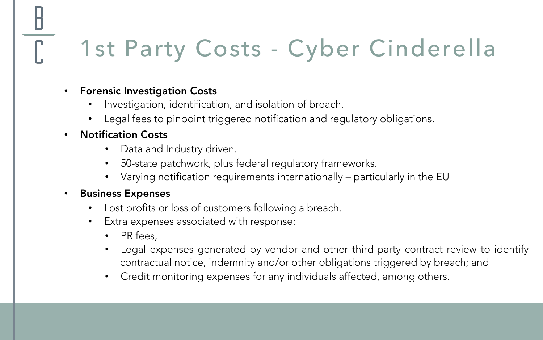### 1st Party Costs - Cyber Cinderella

#### • Forensic Investigation Costs

- Investigation, identification, and isolation of breach.
- Legal fees to pinpoint triggered notification and regulatory obligations.

#### • Notification Costs

- Data and Industry driven.
- 50-state patchwork, plus federal regulatory frameworks.
- Varying notification requirements internationally particularly in the EU

#### • Business Expenses

- Lost profits or loss of customers following a breach.
- Extra expenses associated with response:
	- PR fees;
	- Legal expenses generated by vendor and other third-party contract review to identify contractual notice, indemnity and/or other obligations triggered by breach; and
	- Credit monitoring expenses for any individuals affected, among others.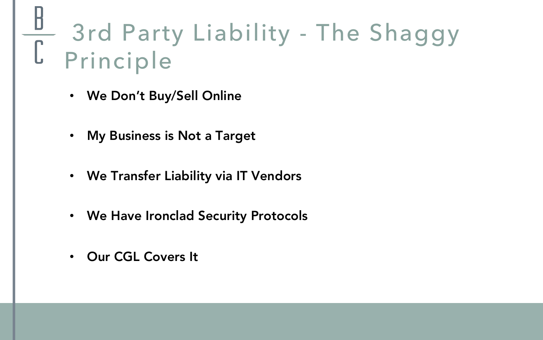### 3rd Party Liability - The Shaggy Principle

- We Don't Buy/Sell Online
- My Business is Not a Target
- We Transfer Liability via IT Vendors
- We Have Ironclad Security Protocols
- Our CGL Covers It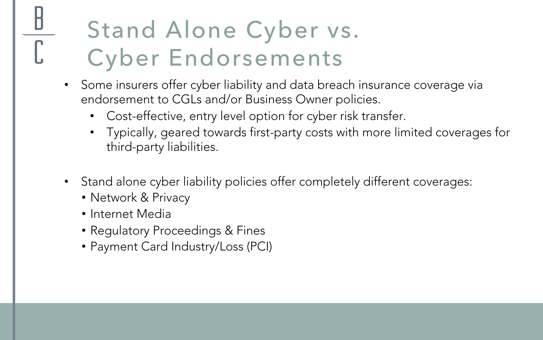### Stand Alone Cyber vs. Cyber Endorsements

- Some insurers offer cyber liability and data breach insurance coverage via endorsement to CGLs and/or Business Owner policies.
	- Cost-effective, entry level option for cyber risk transfer.
	- Typically, geared towards first-party costs with more limited coverages for third-party liabilities.
- Stand alone cyber liability policies offer completely different coverages:
	- Network & Privacy
	- Internet Media
	- Regulatory Proceedings & Fines
	- Payment Card Industry/Loss (PCI)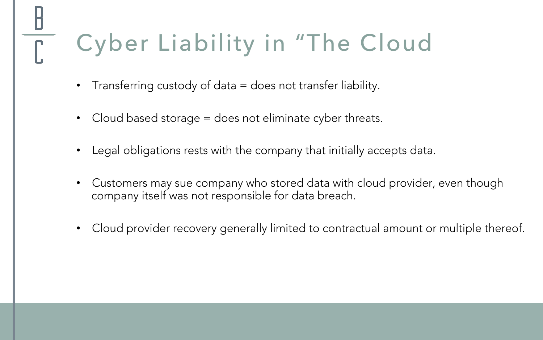## Cyber Liability in "The Cloud

- Transferring custody of data = does not transfer liability.
- Cloud based storage = does not eliminate cyber threats.
- Legal obligations rests with the company that initially accepts data.
- Customers may sue company who stored data with cloud provider, even though company itself was not responsible for data breach.
- Cloud provider recovery generally limited to contractual amount or multiple thereof.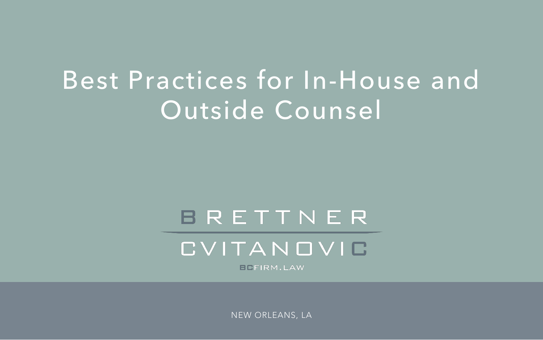### Best Practices for In-House and Outside Counsel

### BRETTNER

CVITANOVIO

**BEFIRM.LAW** 

NEW ORLEANS, LA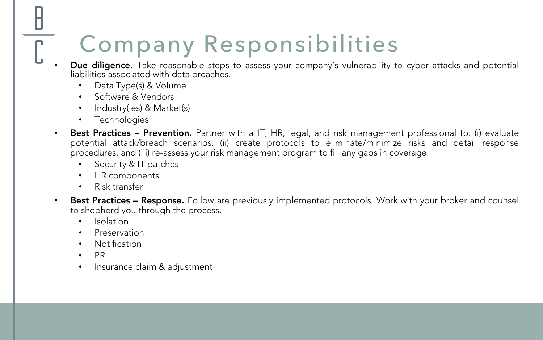### Company Responsibilities

- Due diligence. Take reasonable steps to assess your company's vulnerability to cyber attacks and potential liabilities associated with data breaches.
	- Data Type(s) & Volume
	- Software & Vendors
	- Industry(ies) & Market(s)
	- **Technologies**
- Best Practices Prevention. Partner with a IT, HR, legal, and risk management professional to: (i) evaluate potential attack/breach scenarios, (ii) create protocols to eliminate/minimize risks and detail response procedures, and (iii) re-assess your risk management program to fill any gaps in coverage.
	- Security & IT patches
	- HR components
	- Risk transfer
- Best Practices Response. Follow are previously implemented protocols. Work with your broker and counsel to shepherd you through the process.
	- Isolation
	- **Preservation**
	- Notification
	- PR
	- Insurance claim & adjustment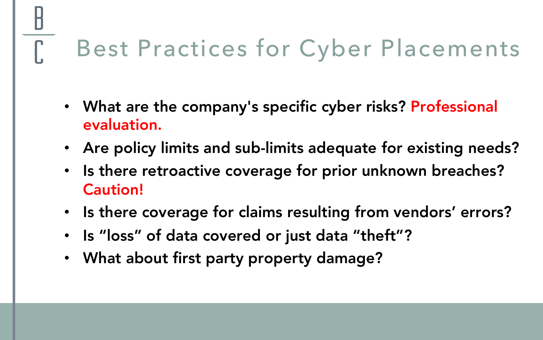### Best Practices for Cyber Placements

- What are the company's specific cyber risks? Professional evaluation.
- Are policy limits and sub-limits adequate for existing needs?
- Is there retroactive coverage for prior unknown breaches? Caution!
- Is there coverage for claims resulting from vendors' errors?
- Is "loss" of data covered or just data "theft"?
- What about first party property damage?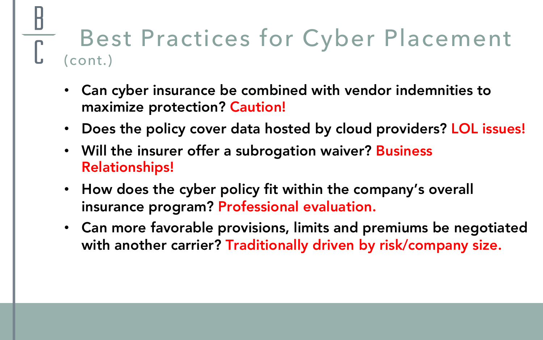### Best Practices for Cyber Placement (cont.)

- Can cyber insurance be combined with vendor indemnities to maximize protection? Caution!
- Does the policy cover data hosted by cloud providers? LOL issues!
- Will the insurer offer a subrogation waiver? Business Relationships!
- How does the cyber policy fit within the company's overall insurance program? Professional evaluation.
- Can more favorable provisions, limits and premiums be negotiated with another carrier? Traditionally driven by risk/company size.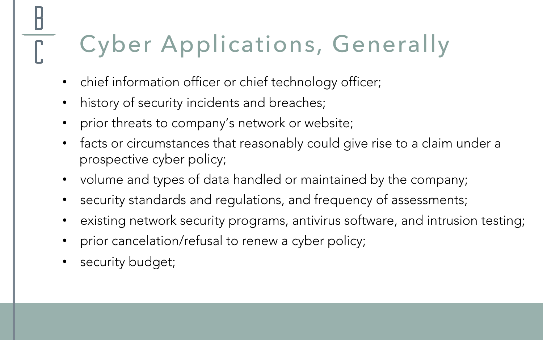### Cyber Applications, Generally

- chief information officer or chief technology officer;
- history of security incidents and breaches;
- prior threats to company's network or website;
- facts or circumstances that reasonably could give rise to a claim under a prospective cyber policy;
- volume and types of data handled or maintained by the company;
- security standards and regulations, and frequency of assessments;
- existing network security programs, antivirus software, and intrusion testing;
- prior cancelation/refusal to renew a cyber policy;
- security budget;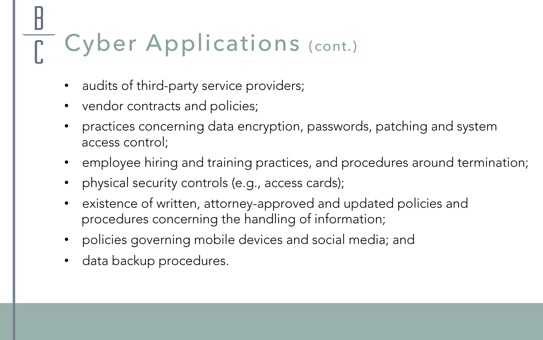## Cyber Applications (cont.)

- audits of third-party service providers;
- vendor contracts and policies;
- practices concerning data encryption, passwords, patching and system access control;
- employee hiring and training practices, and procedures around termination;
- physical security controls (e.g., access cards);
- existence of written, attorney-approved and updated policies and procedures concerning the handling of information;
- policies governing mobile devices and social media; and
- data backup procedures.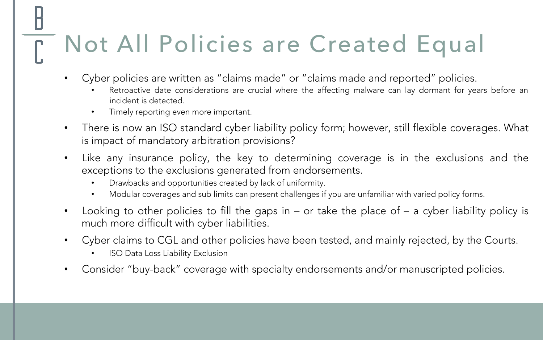### Not All Policies are Created Equal

- Cyber policies are written as "claims made" or "claims made and reported" policies.
	- Retroactive date considerations are crucial where the affecting malware can lay dormant for years before an incident is detected.
	- Timely reporting even more important.
- There is now an ISO standard cyber liability policy form; however, still flexible coverages. What is impact of mandatory arbitration provisions?
- Like any insurance policy, the key to determining coverage is in the exclusions and the exceptions to the exclusions generated from endorsements.
	- Drawbacks and opportunities created by lack of uniformity.
	- Modular coverages and sub limits can present challenges if you are unfamiliar with varied policy forms.
- Looking to other policies to fill the gaps in  $-$  or take the place of  $-$  a cyber liability policy is much more difficult with cyber liabilities.
- Cyber claims to CGL and other policies have been tested, and mainly rejected, by the Courts.
	- **ISO Data Loss Liability Exclusion**
- Consider "buy-back" coverage with specialty endorsements and/or manuscripted policies.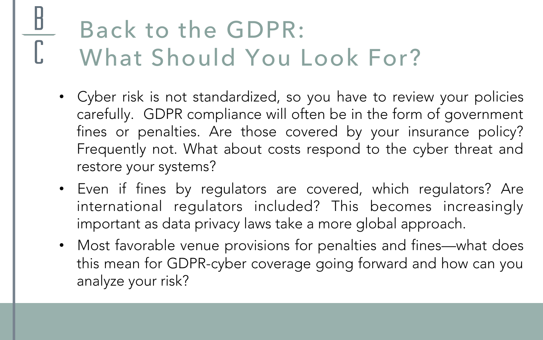### Back to the GDPR: What Should You Look For?

- Cyber risk is not standardized, so you have to review your policies carefully. GDPR compliance will often be in the form of government fines or penalties. Are those covered by your insurance policy? Frequently not. What about costs respond to the cyber threat and restore your systems?
- Even if fines by regulators are covered, which regulators? Are international regulators included? This becomes increasingly important as data privacy laws take a more global approach.
- Most favorable venue provisions for penalties and fines—what does this mean for GDPR-cyber coverage going forward and how can you analyze your risk?